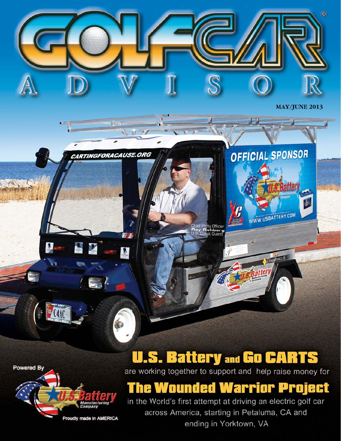**Powered By** 

MY



C4AC

Proudly made in AMERICA

n.

CARTINGFORACAUSE.ORG

3X

7. 3

界

Ó

 $L$ 

## **U.S. Battery and Go CARTS**

Chief Petty Officer<br>Ray Rehberg<br>U.S. Coast Guard

 $\circledR$ 

**MAY/JUNE 2013** 

OFFICIAL SPONSOR

WWW.USBATTERY.COM

Zicupinn 6

atter

**Battery** 

are working together to support and help raise money for

### **The Wounded Warrior Project**

in the World's first attempt at driving an electric golf car across America, starting in Petaluma, CA and ending in Yorktown, VA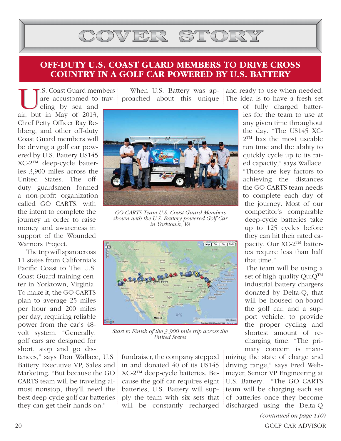# COVER STORY

#### **OFF-DUTY U.S. COAST GUARD MEMBERS TO DRIVE CROSS COUNTRY IN A GOLF CAR POWERED BY U.S. BATTERY**

US. Coast Guard men<br>
are accustomed to<br>
eling by sea and<br>
air, but in May of 2013, .S. Coast Guard members are accustomed to trav-

eling by sea and Chief Petty Officer Ray Rehberg, and other off-duty Coast Guard members will be driving a golf car powered by U.S. Battery US145 XC-2™ deep-cycle batteries 3,900 miles across the United States. The offduty guardsmen formed a non-profit organization called GO CARTS, with the intent to complete the journey in order to raise money and awareness in support of the Wounded Warriors Project.

 The trip will span across 11 states from California's Pacific Coast to The U.S. Coast Guard training center in Yorktown, Virginia. To make it, the GO CARTS plan to average 25 miles per hour and 200 miles per day, requiring reliable power from the car's 48 volt system. "Generally, golf cars are designed for short, stop and go dis-

tances," says Don Wallace, U.S. Battery Executive VP, Sales and Marketing. "But because the GO CARTS team will be traveling almost nonstop, they'll need the best deep-cycle golf car batteries they can get their hands on."

When U.S. Battery was approached about this unique



*GO CARTS Team U.S. Coast Guard Members shown with the U.S. Battery-powered Golf Car in Yorktown, VA*



*Start to Finish of the 3,900 mile trip across the United States*

fundraiser, the company stepped in and donated 40 of its US145 XC-2™ deep-cycle batteries. Because the golf car requires eight batteries, U.S. Battery will supply the team with six sets that will be constantly recharged and ready to use when needed. The idea is to have a fresh set

> of fully charged batteries for the team to use at any given time throughout the day. "The US145 XC-2 TM has the most useable run time and the ability to quickly cycle up to its rated capacity," says Wallace. "Those are key factors to achieving the distances the GO CARTS team needs to complete each day of the journey. Most of our competitor's comparable deep-cycle batteries take up to 125 cycles before they can hit their rated capacity. Our XC-2TM batteries require less than half that time."

 The team will be using a set of high-quality QuiQ<sup>TM</sup> industrial battery chargers donated by Delta-Q, that will be housed on-board the golf car, and a support vehicle, to provide the proper cycling and shortest amount of recharging time. "The primary concern is maxi-

mizing the state of charge and driving range," says Fred Wehmeyer, Senior VP Engineering at U.S. Battery. "The GO CARTS team will be charging each set of batteries once they become discharged using the Delta-Q

*(continued on page 110)* 20 GOLF CAR ADVISOR